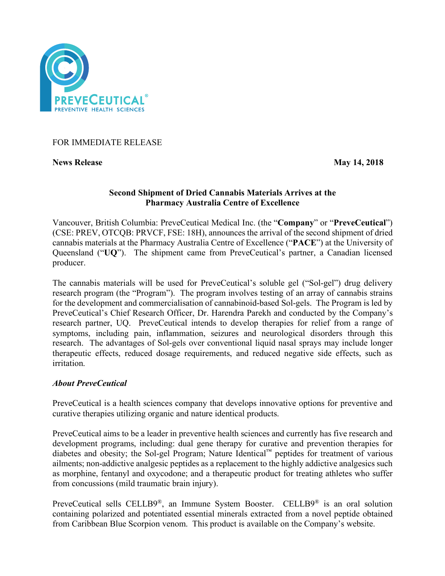

FOR IMMEDIATE RELEASE

**News Release** May 14, 2018

## **Second Shipment of Dried Cannabis Materials Arrives at the Pharmacy Australia Centre of Excellence**

Vancouver, British Columbia: PreveCeutical Medical Inc. (the "**Company**" or "**PreveCeutical**") (CSE: PREV, OTCQB: PRVCF, FSE: 18H), announces the arrival of the second shipment of dried cannabis materials at the Pharmacy Australia Centre of Excellence ("**PACE**") at the University of Queensland ("**UQ**"). The shipment came from PreveCeutical's partner, a Canadian licensed producer.

The cannabis materials will be used for PreveCeutical's soluble gel ("Sol-gel") drug delivery research program (the "Program"). The program involves testing of an array of cannabis strains for the development and commercialisation of cannabinoid-based Sol-gels. The Program is led by PreveCeutical's Chief Research Officer, Dr. Harendra Parekh and conducted by the Company's research partner, UQ. PreveCeutical intends to develop therapies for relief from a range of symptoms, including pain, inflammation, seizures and neurological disorders through this research. The advantages of Sol-gels over conventional liquid nasal sprays may include longer therapeutic effects, reduced dosage requirements, and reduced negative side effects, such as irritation.

# *About PreveCeutical*

PreveCeutical is a health sciences company that develops innovative options for preventive and curative therapies utilizing organic and nature identical products.

PreveCeutical aims to be a leader in preventive health sciences and currently has five research and development programs, including: dual gene therapy for curative and prevention therapies for diabetes and obesity; the Sol-gel Program; Nature Identical™ peptides for treatment of various ailments; non-addictive analgesic peptides as a replacement to the highly addictive analgesics such as morphine, fentanyl and oxycodone; and a therapeutic product for treating athletes who suffer from concussions (mild traumatic brain injury).

PreveCeutical sells CELLB9®, an Immune System Booster. CELLB9® is an oral solution containing polarized and potentiated essential minerals extracted from a novel peptide obtained from Caribbean Blue Scorpion venom. This product is available on the Company's website.